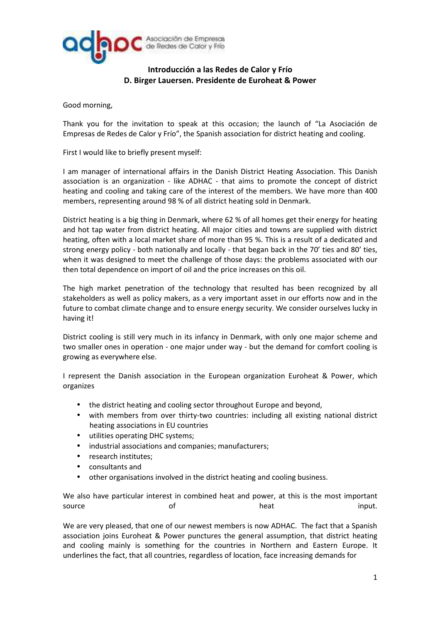

## **Introducción a las Redes de Calor y Frío D. Birger Lauersen. Presidente de Euroheat & Power**

Good morning,

Thank you for the invitation to speak at this occasion; the launch of "La Asociación de Empresas de Redes de Calor y Frío", the Spanish association for district heating and cooling.

First I would like to briefly present myself:

I am manager of international affairs in the Danish District Heating Association. This Danish association is an organization - like ADHAC - that aims to promote the concept of district heating and cooling and taking care of the interest of the members. We have more than 400 members, representing around 98 % of all district heating sold in Denmark.

District heating is a big thing in Denmark, where 62 % of all homes get their energy for heating and hot tap water from district heating. All major cities and towns are supplied with district heating, often with a local market share of more than 95 %. This is a result of a dedicated and strong energy policy - both nationally and locally - that began back in the 70' ties and 80' ties, when it was designed to meet the challenge of those days: the problems associated with our then total dependence on import of oil and the price increases on this oil.

The high market penetration of the technology that resulted has been recognized by all stakeholders as well as policy makers, as a very important asset in our efforts now and in the future to combat climate change and to ensure energy security. We consider ourselves lucky in having it!

District cooling is still very much in its infancy in Denmark, with only one major scheme and two smaller ones in operation - one major under way - but the demand for comfort cooling is growing as everywhere else.

I represent the Danish association in the European organization Euroheat & Power, which organizes

- the district heating and cooling sector throughout Europe and beyond,
- with members from over thirty-two countries: including all existing national district heating associations in EU countries
- utilities operating DHC systems;
- industrial associations and companies; manufacturers;
- research institutes;
- consultants and
- other organisations involved in the district heating and cooling business.

We also have particular interest in combined heat and power, at this is the most important source of of heat heat input.

We are very pleased, that one of our newest members is now ADHAC. The fact that a Spanish association joins Euroheat & Power punctures the general assumption, that district heating and cooling mainly is something for the countries in Northern and Eastern Europe. It underlines the fact, that all countries, regardless of location, face increasing demands for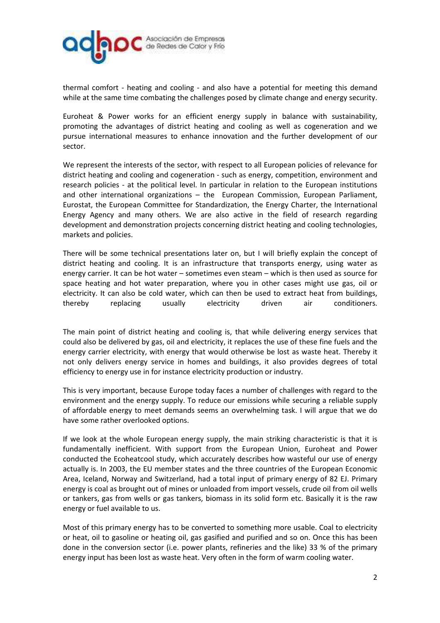

thermal comfort - heating and cooling - and also have a potential for meeting this demand while at the same time combating the challenges posed by climate change and energy security.

Euroheat & Power works for an efficient energy supply in balance with sustainability, promoting the advantages of district heating and cooling as well as cogeneration and we pursue international measures to enhance innovation and the further development of our sector.

We represent the interests of the sector, with respect to all European policies of relevance for district heating and cooling and cogeneration - such as energy, competition, environment and research policies - at the political level. In particular in relation to the European institutions and other international organizations – the European Commission, European Parliament, Eurostat, the European Committee for Standardization, the Energy Charter, the International Energy Agency and many others. We are also active in the field of research regarding development and demonstration projects concerning district heating and cooling technologies, markets and policies.

There will be some technical presentations later on, but I will briefly explain the concept of district heating and cooling. It is an infrastructure that transports energy, using water as energy carrier. It can be hot water – sometimes even steam – which is then used as source for space heating and hot water preparation, where you in other cases might use gas, oil or electricity. It can also be cold water, which can then be used to extract heat from buildings, thereby replacing usually electricity driven air conditioners.

The main point of district heating and cooling is, that while delivering energy services that could also be delivered by gas, oil and electricity, it replaces the use of these fine fuels and the energy carrier electricity, with energy that would otherwise be lost as waste heat. Thereby it not only delivers energy service in homes and buildings, it also provides degrees of total efficiency to energy use in for instance electricity production or industry.

This is very important, because Europe today faces a number of challenges with regard to the environment and the energy supply. To reduce our emissions while securing a reliable supply of affordable energy to meet demands seems an overwhelming task. I will argue that we do have some rather overlooked options.

If we look at the whole European energy supply, the main striking characteristic is that it is fundamentally inefficient. With support from the European Union, Euroheat and Power conducted the Ecoheatcool study, which accurately describes how wasteful our use of energy actually is. In 2003, the EU member states and the three countries of the European Economic Area, Iceland, Norway and Switzerland, had a total input of primary energy of 82 EJ. Primary energy is coal as brought out of mines or unloaded from import vessels, crude oil from oil wells or tankers, gas from wells or gas tankers, biomass in its solid form etc. Basically it is the raw energy or fuel available to us.

Most of this primary energy has to be converted to something more usable. Coal to electricity or heat, oil to gasoline or heating oil, gas gasified and purified and so on. Once this has been done in the conversion sector (i.e. power plants, refineries and the like) 33 % of the primary energy input has been lost as waste heat. Very often in the form of warm cooling water.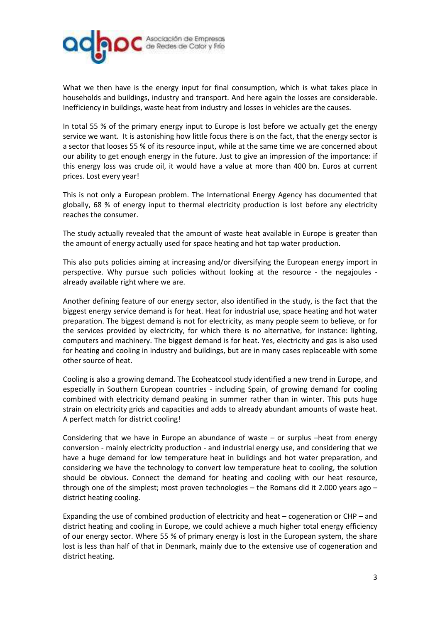

What we then have is the energy input for final consumption, which is what takes place in households and buildings, industry and transport. And here again the losses are considerable. Inefficiency in buildings, waste heat from industry and losses in vehicles are the causes.

In total 55 % of the primary energy input to Europe is lost before we actually get the energy service we want. It is astonishing how little focus there is on the fact, that the energy sector is a sector that looses 55 % of its resource input, while at the same time we are concerned about our ability to get enough energy in the future. Just to give an impression of the importance: if this energy loss was crude oil, it would have a value at more than 400 bn. Euros at current prices. Lost every year!

This is not only a European problem. The International Energy Agency has documented that globally, 68 % of energy input to thermal electricity production is lost before any electricity reaches the consumer.

The study actually revealed that the amount of waste heat available in Europe is greater than the amount of energy actually used for space heating and hot tap water production.

This also puts policies aiming at increasing and/or diversifying the European energy import in perspective. Why pursue such policies without looking at the resource - the negajoules already available right where we are.

Another defining feature of our energy sector, also identified in the study, is the fact that the biggest energy service demand is for heat. Heat for industrial use, space heating and hot water preparation. The biggest demand is not for electricity, as many people seem to believe, or for the services provided by electricity, for which there is no alternative, for instance: lighting, computers and machinery. The biggest demand is for heat. Yes, electricity and gas is also used for heating and cooling in industry and buildings, but are in many cases replaceable with some other source of heat.

Cooling is also a growing demand. The Ecoheatcool study identified a new trend in Europe, and especially in Southern European countries - including Spain, of growing demand for cooling combined with electricity demand peaking in summer rather than in winter. This puts huge strain on electricity grids and capacities and adds to already abundant amounts of waste heat. A perfect match for district cooling!

Considering that we have in Europe an abundance of waste – or surplus –heat from energy conversion - mainly electricity production - and industrial energy use, and considering that we have a huge demand for low temperature heat in buildings and hot water preparation, and considering we have the technology to convert low temperature heat to cooling, the solution should be obvious. Connect the demand for heating and cooling with our heat resource, through one of the simplest; most proven technologies – the Romans did it 2.000 years ago – district heating cooling.

Expanding the use of combined production of electricity and heat – cogeneration or CHP – and district heating and cooling in Europe, we could achieve a much higher total energy efficiency of our energy sector. Where 55 % of primary energy is lost in the European system, the share lost is less than half of that in Denmark, mainly due to the extensive use of cogeneration and district heating.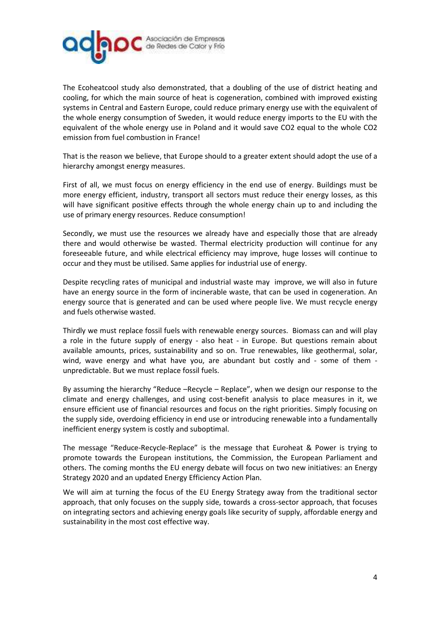

The Ecoheatcool study also demonstrated, that a doubling of the use of district heating and cooling, for which the main source of heat is cogeneration, combined with improved existing systems in Central and Eastern Europe, could reduce primary energy use with the equivalent of the whole energy consumption of Sweden, it would reduce energy imports to the EU with the equivalent of the whole energy use in Poland and it would save CO2 equal to the whole CO2 emission from fuel combustion in France!

That is the reason we believe, that Europe should to a greater extent should adopt the use of a hierarchy amongst energy measures.

First of all, we must focus on energy efficiency in the end use of energy. Buildings must be more energy efficient, industry, transport all sectors must reduce their energy losses, as this will have significant positive effects through the whole energy chain up to and including the use of primary energy resources. Reduce consumption!

Secondly, we must use the resources we already have and especially those that are already there and would otherwise be wasted. Thermal electricity production will continue for any foreseeable future, and while electrical efficiency may improve, huge losses will continue to occur and they must be utilised. Same applies for industrial use of energy.

Despite recycling rates of municipal and industrial waste may improve, we will also in future have an energy source in the form of incinerable waste, that can be used in cogeneration. An energy source that is generated and can be used where people live. We must recycle energy and fuels otherwise wasted.

Thirdly we must replace fossil fuels with renewable energy sources. Biomass can and will play a role in the future supply of energy - also heat - in Europe. But questions remain about available amounts, prices, sustainability and so on. True renewables, like geothermal, solar, wind, wave energy and what have you, are abundant but costly and - some of them unpredictable. But we must replace fossil fuels.

By assuming the hierarchy "Reduce –Recycle – Replace", when we design our response to the climate and energy challenges, and using cost-benefit analysis to place measures in it, we ensure efficient use of financial resources and focus on the right priorities. Simply focusing on the supply side, overdoing efficiency in end use or introducing renewable into a fundamentally inefficient energy system is costly and suboptimal.

The message "Reduce-Recycle-Replace" is the message that Euroheat & Power is trying to promote towards the European institutions, the Commission, the European Parliament and others. The coming months the EU energy debate will focus on two new initiatives: an Energy Strategy 2020 and an updated Energy Efficiency Action Plan.

We will aim at turning the focus of the EU Energy Strategy away from the traditional sector approach, that only focuses on the supply side, towards a cross-sector approach, that focuses on integrating sectors and achieving energy goals like security of supply, affordable energy and sustainability in the most cost effective way.